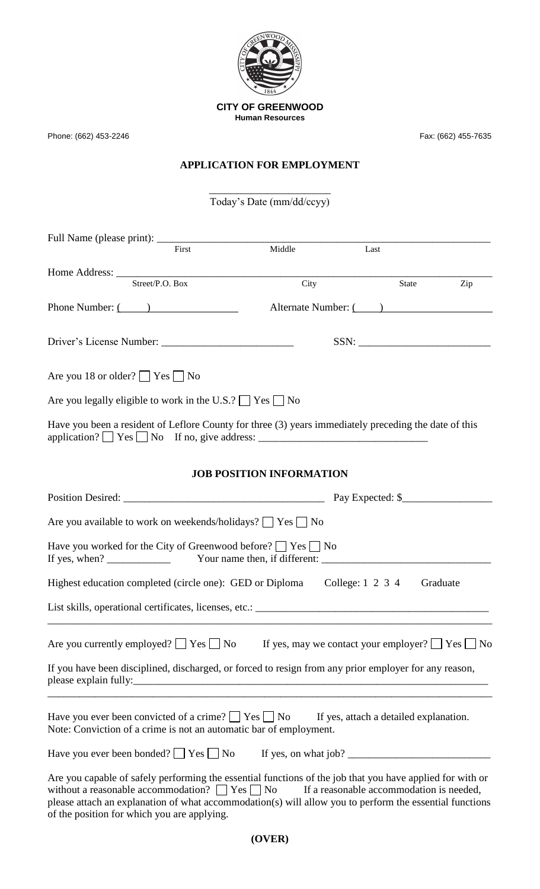

Phone: (662) 453-2246 Fax: (662) 455-7635

## **APPLICATION FOR EMPLOYMENT**

\_\_\_\_\_\_\_\_\_\_\_\_\_\_\_\_\_\_\_\_\_\_\_ Today's Date (mm/dd/ccyy)

| First                                                                                                                                                                                                                                                                            | Middle                                                     | Last                                     |          |
|----------------------------------------------------------------------------------------------------------------------------------------------------------------------------------------------------------------------------------------------------------------------------------|------------------------------------------------------------|------------------------------------------|----------|
|                                                                                                                                                                                                                                                                                  |                                                            |                                          |          |
| Street/P.O. Box                                                                                                                                                                                                                                                                  | City                                                       | State                                    | Zip      |
| Phone Number: $\overline{(\ }$                                                                                                                                                                                                                                                   |                                                            | Alternate Number: (2008)                 |          |
|                                                                                                                                                                                                                                                                                  |                                                            |                                          |          |
| Are you 18 or older? $\Box$ Yes $\Box$ No                                                                                                                                                                                                                                        |                                                            |                                          |          |
| Are you legally eligible to work in the U.S.? $\Box$ Yes $\Box$ No                                                                                                                                                                                                               |                                                            |                                          |          |
| Have you been a resident of Leflore County for three (3) years immediately preceding the date of this<br>application? $\Box$ Yes $\Box$ No If no, give address: $\Box$                                                                                                           |                                                            |                                          |          |
|                                                                                                                                                                                                                                                                                  | <b>JOB POSITION INFORMATION</b>                            |                                          |          |
|                                                                                                                                                                                                                                                                                  |                                                            |                                          |          |
| Are you available to work on weekends/holidays?     Yes     No                                                                                                                                                                                                                   |                                                            |                                          |          |
| Have you worked for the City of Greenwood before? $\Box$ Yes $\Box$ No                                                                                                                                                                                                           |                                                            |                                          |          |
| Highest education completed (circle one): GED or Diploma                                                                                                                                                                                                                         |                                                            | College: 1 2 3 4                         | Graduate |
| List skills, operational certificates, licenses, etc.: _________________________                                                                                                                                                                                                 |                                                            |                                          |          |
| Are you currently employed? $\Box$ Yes $\Box$ No                                                                                                                                                                                                                                 | If yes, may we contact your employer? $\Box$ Yes $\Box$ No |                                          |          |
| If you have been disciplined, discharged, or forced to resign from any prior employer for any reason,                                                                                                                                                                            |                                                            |                                          |          |
| Have you ever been convicted of a crime? $\Box$ Yes $\Box$ No<br>Note: Conviction of a crime is not an automatic bar of employment.                                                                                                                                              |                                                            | If yes, attach a detailed explanation.   |          |
|                                                                                                                                                                                                                                                                                  |                                                            |                                          |          |
| Are you capable of safely performing the essential functions of the job that you have applied for with or<br>without a reasonable accommodation? $\Box$ Yes $\Box$ No<br>please attach an explanation of what accommodation(s) will allow you to perform the essential functions |                                                            | If a reasonable accommodation is needed, |          |

of the position for which you are applying.